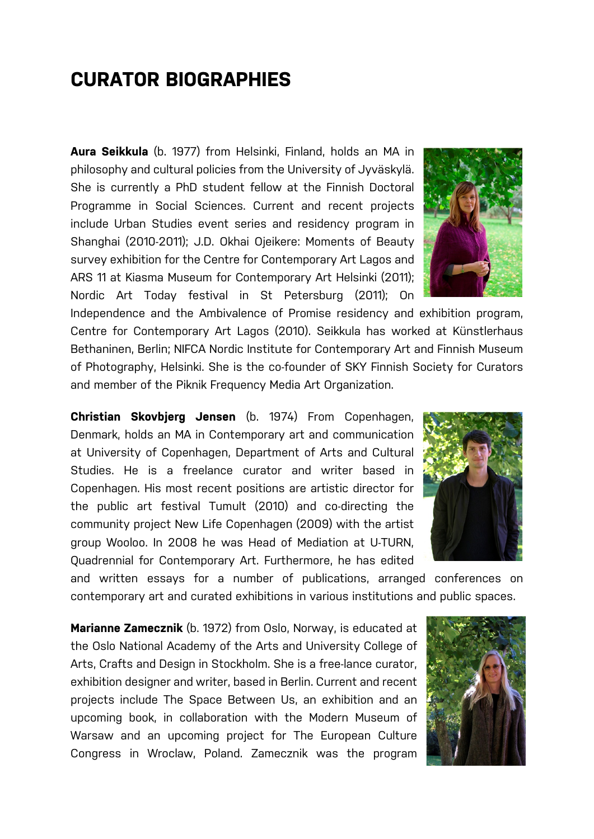## **CURATOR BIOGRAPHIES**

**Aura Seikkula** (b. 1977) from Helsinki, Finland, holds an MA in philosophy and cultural policies from the University of Jyväskylä. She is currently a PhD student fellow at the Finnish Doctoral Programme in Social Sciences. Current and recent projects include Urban Studies event series and residency program in Shanghai (2010-2011); J.D. Okhai Ojeikere: Moments of Beauty survey exhibition for the Centre for Contemporary Art Lagos and ARS 11 at Kiasma Museum for Contemporary Art Helsinki (2011); Nordic Art Today festival in St Petersburg (2011); On

Independence and the Ambivalence of Promise residency and exhibition program, Centre for Contemporary Art Lagos (2010). Seikkula has worked at Künstlerhaus Bethaninen, Berlin; NIFCA Nordic Institute for Contemporary Art and Finnish Museum of Photography, Helsinki. She is the co-founder of SKY Finnish Society for Curators and member of the Piknik Frequency Media Art Organization.

**Christian Skovbjerg Jensen** (b. 1974) From Copenhagen, Denmark, holds an MA in Contemporary art and communication at University of Copenhagen, Department of Arts and Cultural Studies. He is a freelance curator and writer based in Copenhagen. His most recent positions are artistic director for the public art festival Tumult (2010) and co-directing the community project New Life Copenhagen (2009) with the artist group Wooloo. In 2008 he was Head of Mediation at U-TURN, Quadrennial for Contemporary Art. Furthermore, he has edited

and written essays for a number of publications, arranged conferences on contemporary art and curated exhibitions in various institutions and public spaces.

**Marianne Zamecznik** (b. 1972) from Oslo, Norway, is educated at the Oslo National Academy of the Arts and University College of Arts, Crafts and Design in Stockholm. She is a free-lance curator, exhibition designer and writer, based in Berlin. Current and recent projects include The Space Between Us, an exhibition and an upcoming book, in collaboration with the Modern Museum of Warsaw and an upcoming project for The European Culture Congress in Wroclaw, Poland. Zamecznik was the program